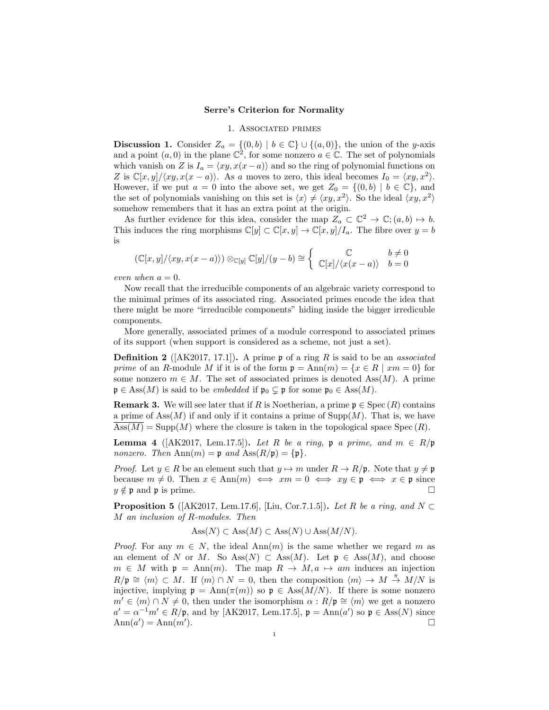## Serre's Criterion for Normality

## 1. Associated primes

**Discussion 1.** Consider  $Z_a = \{(0, b) | b \in \mathbb{C}\} \cup \{(a, 0)\}\)$ , the union of the y-axis and a point  $(a, 0)$  in the plane  $\mathbb{C}^2$ , for some nonzero  $a \in \mathbb{C}$ . The set of polynomials which vanish on Z is  $I_a = \langle xy, x(x-a) \rangle$  and so the ring of polynomial functions on Z is  $\mathbb{C}[x,y]/\langle xy, x(x-a) \rangle$ . As a moves to zero, this ideal becomes  $I_0 = \langle xy, x^2 \rangle$ . However, if we put  $a = 0$  into the above set, we get  $Z_0 = \{(0, b) | b \in \mathbb{C}\}\)$ , and the set of polynomials vanishing on this set is  $\langle x \rangle \neq \langle xy, x^2 \rangle$ . So the ideal  $\langle xy, x^2 \rangle$ somehow remembers that it has an extra point at the origin.

As further evidence for this idea, consider the map  $Z_a \subset \mathbb{C}^2 \to \mathbb{C}$ ;  $(a, b) \mapsto b$ . This induces the ring morphisms  $\mathbb{C}[y] \subset \mathbb{C}[x,y] \to \mathbb{C}[x,y]/I_a$ . The fibre over  $y = b$ is

$$
(\mathbb{C}[x,y]/\langle xy, x(x-a)\rangle) \otimes_{\mathbb{C}[y]} \mathbb{C}[y]/(y-b) \cong \begin{cases} \mathbb{C} & b \neq 0 \\ \mathbb{C}[x]/\langle x(x-a) \rangle & b = 0 \end{cases}
$$

even when  $a = 0$ .

Now recall that the irreducible components of an algebraic variety correspond to the minimal primes of its associated ring. Associated primes encode the idea that there might be more "irreducible components" hiding inside the bigger irredicuble components.

More generally, associated primes of a module correspond to associated primes of its support (when support is considered as a scheme, not just a set).

**Definition 2** ( $[AK2017, 17.1]$ ). A prime p of a ring R is said to be an *associated* prime of an R-module M if it is of the form  $\mathfrak{p} = \text{Ann}(m) = \{x \in R \mid xm = 0\}$  for some nonzero  $m \in M$ . The set of associated primes is denoted Ass $(M)$ . A prime  $\mathfrak{p} \in \text{Ass}(M)$  is said to be *embedded* if  $\mathfrak{p}_0 \subsetneq \mathfrak{p}$  for some  $\mathfrak{p}_0 \in \text{Ass}(M)$ .

**Remark 3.** We will see later that if R is Noetherian, a prime  $\mathfrak{p} \in \text{Spec} (R)$  contains a prime of  $\text{Ass}(M)$  if and only if it contains a prime of  $\text{Supp}(M)$ . That is, we have  $\operatorname{Ass}(M) = \operatorname{Supp}(M)$  where the closure is taken in the topological space  $\operatorname{Spec}(R)$ .

**Lemma 4** ([AK2017, Lem.17.5]). Let R be a ring, p a prime, and  $m \in R/\mathfrak{p}$ nonzero. Then  $\text{Ann}(m) = \mathfrak{p}$  and  $\text{Ass}(R/\mathfrak{p}) = {\{\mathfrak{p}\}}$ .

*Proof.* Let  $y \in R$  be an element such that  $y \mapsto m$  under  $R \to R/\mathfrak{p}$ . Note that  $y \neq \mathfrak{p}$ because  $m \neq 0$ . Then  $x \in Ann(m) \iff xm = 0 \iff xy \in \mathfrak{p} \iff x \in \mathfrak{p}$  since  $y \notin \mathfrak{p}$  and  $\mathfrak{p}$  is prime.

**Proposition 5** ([AK2017, Lem.17.6], [Liu, Cor.7.1.5]). Let R be a ring, and  $N \subset$ M an inclusion of R-modules. Then

$$
Ass(N) \subset Ass(M) \subset Ass(N) \cup Ass(M/N).
$$

*Proof.* For any  $m \in N$ , the ideal Ann $(m)$  is the same whether we regard m as an element of N or M. So Ass(N) ⊂ Ass(M). Let  $\mathfrak{p} \in \text{Ass}(M)$ , and choose  $m \in M$  with  $\mathfrak{p} = \text{Ann}(m)$ . The map  $R \to M, a \mapsto am$  induces an injection  $R/\mathfrak{p} \cong \langle m \rangle \subset M$ . If  $\langle m \rangle \cap N = 0$ , then the composition  $\langle m \rangle \to M \stackrel{\pi}{\to} M/N$  is injective, implying  $\mathfrak{p} = \text{Ann}(\pi(m))$  so  $\mathfrak{p} \in \text{Ass}(M/N)$ . If there is some nonzero  $m' \in \langle m \rangle \cap N \neq 0$ , then under the isomorphism  $\alpha : R/\mathfrak{p} \cong \langle m \rangle$  we get a nonzero  $a' = \alpha^{-1}m' \in R/\mathfrak{p}$ , and by [AK2017, Lem.17.5],  $\mathfrak{p} = \text{Ann}(a')$  so  $\mathfrak{p} \in \text{Ass}(N)$  since  $\text{Ann}(a') = \text{Ann}(m')$ ).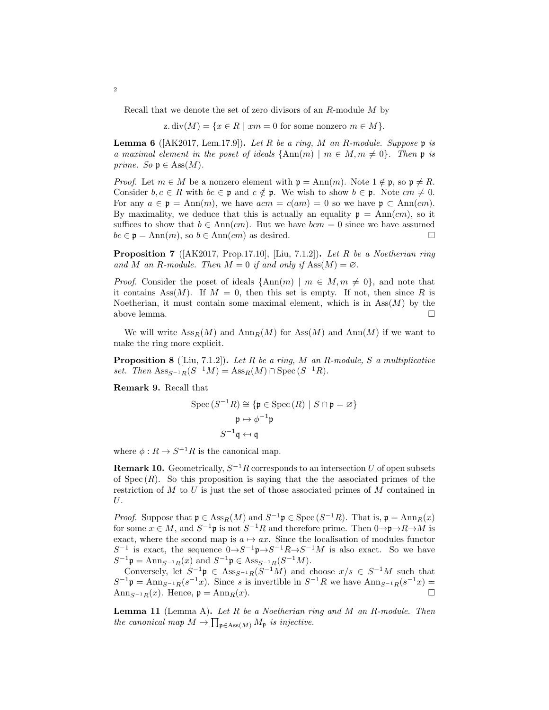Recall that we denote the set of zero divisors of an R-module M by

z. div $(M) = \{x \in R \mid xm = 0 \text{ for some nonzero } m \in M\}.$ 

**Lemma 6** ( $[AK2017, Lem.17.9]$ ). Let R be a ring, M an R-module. Suppose  $\mathfrak{p}$  is a maximal element in the poset of ideals  $\{\text{Ann}(m) \mid m \in M, m \neq 0\}$ . Then p is prime. So  $\mathfrak{p} \in \text{Ass}(M)$ .

*Proof.* Let  $m \in M$  be a nonzero element with  $\mathfrak{p} = \text{Ann}(m)$ . Note  $1 \notin \mathfrak{p}$ , so  $\mathfrak{p} \neq R$ . Consider  $b, c \in R$  with  $bc \in \mathfrak{p}$  and  $c \notin \mathfrak{p}$ . We wish to show  $b \in \mathfrak{p}$ . Note  $cm \neq 0$ . For any  $a \in \mathfrak{p} = \text{Ann}(m)$ , we have  $acm = c(am) = 0$  so we have  $\mathfrak{p} \subset \text{Ann}(cm)$ . By maximality, we deduce that this is actually an equality  $p = Ann(cm)$ , so it suffices to show that  $b \in Ann(cm)$ . But we have  $bcm = 0$  since we have assumed  $bc \in \mathfrak{p} = \text{Ann}(m)$ , so  $b \in \text{Ann}(cm)$  as desired.

**Proposition 7** ( $[AK2017, Prop.17.10], [Liu, 7.1.2]$ ). Let R be a Noetherian ring and M an R-module. Then  $M = 0$  if and only if  $Ass(M) = \emptyset$ .

*Proof.* Consider the poset of ideals  $\{\text{Ann}(m) \mid m \in M, m \neq 0\}$ , and note that it contains Ass $(M)$ . If  $M = 0$ , then this set is empty. If not, then since R is Noetherian, it must contain some maximal element, which is in  $\text{Ass}(M)$  by the above lemma.  $\Box$ 

We will write  $\operatorname{Ass}_R(M)$  and  $\operatorname{Ann}_R(M)$  for  $\operatorname{Ass}(M)$  and  $\operatorname{Ann}(M)$  if we want to make the ring more explicit.

**Proposition 8** ([Liu, 7.1.2]). Let R be a ring, M an R-module, S a multiplicative set. Then  $\operatorname{Ass}_{S^{-1}R}(S^{-1}M) = \operatorname{Ass}_R(M) \cap \operatorname{Spec}(S^{-1}R)$ .

Remark 9. Recall that

$$
\operatorname{Spec} (S^{-1}R) \cong \{ \mathfrak{p} \in \operatorname{Spec} (R) \mid S \cap \mathfrak{p} = \varnothing \}
$$

$$
\mathfrak{p} \mapsto \phi^{-1} \mathfrak{p}
$$

$$
S^{-1} \mathfrak{q} \leftrightarrow \mathfrak{q}
$$

where  $\phi: R \to S^{-1}R$  is the canonical map.

**Remark 10.** Geometrically,  $S^{-1}R$  corresponds to an intersection U of open subsets of Spec  $(R)$ . So this proposition is saying that the the associated primes of the restriction of  $M$  to  $U$  is just the set of those associated primes of  $M$  contained in U.

*Proof.* Suppose that  $\mathfrak{p} \in \text{Ass}_R(M)$  and  $S^{-1}\mathfrak{p} \in \text{Spec } (S^{-1}R)$ . That is,  $\mathfrak{p} = \text{Ann}_R(x)$ for some  $x \in M$ , and  $S^{-1}$ **p** is not  $S^{-1}R$  and therefore prime. Then  $0 \rightarrow p \rightarrow R \rightarrow M$  is exact, where the second map is  $a \mapsto ax$ . Since the localisation of modules functor  $S^{-1}$  is exact, the sequence  $0 \rightarrow S^{-1} \mathfrak{p} \rightarrow S^{-1} R \rightarrow S^{-1} M$  is also exact. So we have  $S^{-1}\mathfrak{p} = \text{Ann}_{S^{-1}R}(x)$  and  $S^{-1}\mathfrak{p} \in \text{Ass}_{S^{-1}R}(S^{-1}M)$ .

Conversely, let  $S^{-1}$  $\mathfrak{p} \in \text{Ass}_{S^{-1}R}(S^{-1}M)$  and choose  $x/s \in S^{-1}M$  such that  $S^{-1}$ **p** = Ann<sub>S<sup>-1</sup>R</sub>(s<sup>-1</sup>x). Since s is invertible in  $S^{-1}R$  we have Ann<sub>S</sub>-1<sub>R</sub>(s<sup>-1</sup>x) = Ann<sub>S</sub> $-1_R(x)$ . Hence,  $\mathfrak{p} = \text{Ann}_R(x)$ .

**Lemma 11** (Lemma A). Let R be a Noetherian ring and M an R-module. Then the canonical map  $M \to \prod_{\mathfrak{p} \in \text{Ass}(M)} M_{\mathfrak{p}}$  is injective.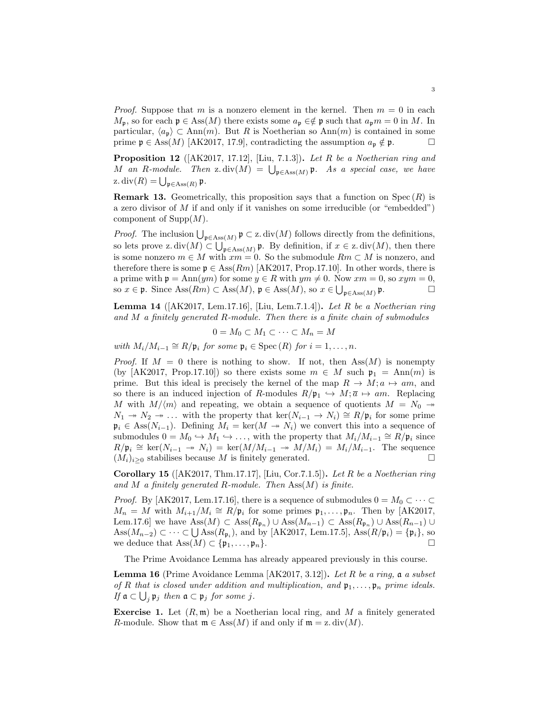*Proof.* Suppose that m is a nonzero element in the kernel. Then  $m = 0$  in each  $M_{\mathfrak{p}}$ , so for each  $\mathfrak{p} \in \text{Ass}(M)$  there exists some  $a_{\mathfrak{p}} \in \mathfrak{p}$  such that  $a_{\mathfrak{p}} m = 0$  in M. In particular,  $\langle a_{\mathbf{p}} \rangle \subset \text{Ann}(m)$ . But R is Noetherian so Ann $(m)$  is contained in some prime  $\mathfrak{p} \in \text{Ass}(M)$  [AK2017, 17.9], contradicting the assumption  $a_{\mathfrak{p}} \notin \mathfrak{p}$ .

**Proposition 12** ( $[AK2017, 17.12]$ ,  $[Liu, 7.1.3]$ ). Let R be a Noetherian ring and M an R-module. Then z. div(M) =  $\bigcup_{\mathfrak{p} \in \text{Ass}(M)} \mathfrak{p}$ . As a special case, we have z. div $(R) = \bigcup_{\mathfrak{p} \in \text{Ass}(R)} \mathfrak{p}.$ 

**Remark 13.** Geometrically, this proposition says that a function on  $Spec(R)$  is a zero divisor of  $M$  if and only if it vanishes on some irreducible (or "embedded") component of  $\text{Supp}(M)$ .

*Proof.* The inclusion  $\bigcup_{\mathfrak{p} \in \text{Ass}(M)} \mathfrak{p} \subset \text{z}$ . div(M) follows directly from the definitions, so lets prove z.  $div(M) \subset \bigcup_{\mathfrak{p} \in \text{Ass}(M)} \mathfrak{p}$ . By definition, if  $x \in \text{z.}$   $div(M)$ , then there is some nonzero  $m \in M$  with  $xm = 0$ . So the submodule  $Rm \subset M$  is nonzero, and therefore there is some  $\mathfrak{p} \in \text{Ass}(Rm)$  [AK2017, Prop.17.10]. In other words, there is a prime with  $\mathfrak{p} = \text{Ann}(ym)$  for some  $y \in R$  with  $ym \neq 0$ . Now  $xm = 0$ , so  $xym = 0$ , so  $x \in \mathfrak{p}$ . Since  $\text{Ass}(Rm) \subset \text{Ass}(M)$ ,  $\mathfrak{p} \in \text{Ass}(M)$ , so  $x \in \bigcup_{\mathfrak{p} \in \text{Ass}(M)}$  $\Box$ 

**Lemma 14** ( $[AK2017, Lem.17.16], [Liu, Lem.7.1.4]).$  Let R be a Noetherian ring and  $M$  a finitely generated  $R$ -module. Then there is a finite chain of submodules

$$
0 = M_0 \subset M_1 \subset \cdots \subset M_n = M
$$

with  $M_i/M_{i-1} \cong R/\mathfrak{p}_i$  for some  $\mathfrak{p}_i \in \mathrm{Spec}(R)$  for  $i = 1, \ldots, n$ .

*Proof.* If  $M = 0$  there is nothing to show. If not, then Ass $(M)$  is nonempty (by [AK2017, Prop.17.10]) so there exists some  $m \in M$  such  $\mathfrak{p}_1 = \text{Ann}(m)$  is prime. But this ideal is precisely the kernel of the map  $R \to M; a \mapsto am$ , and so there is an induced injection of R-modules  $R/\mathfrak{p}_1 \hookrightarrow M; \overline{a} \mapsto am$ . Replacing M with  $M/\langle m \rangle$  and repeating, we obtain a sequence of quotients  $M = N_0 \rightarrow$  $N_1 \rightarrow N_2 \rightarrow \ldots$  with the property that  $\ker(N_{i-1} \rightarrow N_i) \cong R/\mathfrak{p}_i$  for some prime  $\mathfrak{p}_i \in \text{Ass}(N_{i-1})$ . Defining  $M_i = \text{ker}(M \to N_i)$  we convert this into a sequence of submodules  $0 = M_0 \hookrightarrow M_1 \hookrightarrow \ldots$ , with the property that  $M_i/M_{i-1} \cong R/\mathfrak{p}_i$  since  $R/\mathfrak{p}_i \cong \text{ker}(N_{i-1} \to N_i) = \text{ker}(M/M_{i-1} \to M/M_i) = M_i/M_{i-1}$ . The sequence  $(M_i)_{i\geq 0}$  stabilises because M is finitely generated.

Corollary 15 ( $[AK2017, Thm.17.17], [Liu, Cor.7.1.5]$ ). Let R be a Noetherian ring and M a finitely generated R-module. Then  $\text{Ass}(M)$  is finite.

*Proof.* By [AK2017, Lem.17.16], there is a sequence of submodules  $0 = M_0 \subset \cdots \subset$  $M_n = M$  with  $M_{i+1}/M_i \cong R/\mathfrak{p}_i$  for some primes  $\mathfrak{p}_1, \ldots, \mathfrak{p}_n$ . Then by [AK2017, Lem.17.6] we have  $\text{Ass}(M) \subset \text{Ass}(R_{\mathfrak{p}_n}) \cup \text{Ass}(M_{n-1}) \subset \text{Ass}(R_{\mathfrak{p}_n}) \cup \text{Ass}(R_{n-1}) \cup$  $\text{Ass}(M_{n-2}) \subset \cdots \subset \bigcup \text{Ass}(R_{\mathfrak{p}_i}),$  and by [AK2017, Lem.17.5], Ass $(R/\mathfrak{p}_i) = {\mathfrak{p}_i},$  so we deduce that  $\text{Ass}(M) \subset \{\mathfrak{p}_1, \ldots, \mathfrak{p}_n\}.$ 

The Prime Avoidance Lemma has already appeared previously in this course.

**Lemma 16** (Prime Avoidance Lemma  $AK2017, 3.12$ ). Let R be a ring, a a subset of R that is closed under addition and multiplication, and  $\mathfrak{p}_1, \ldots, \mathfrak{p}_n$  prime ideals. If  $\mathfrak{a} \subset \bigcup_j \mathfrak{p}_j$  then  $\mathfrak{a} \subset \mathfrak{p}_j$  for some j.

<span id="page-2-0"></span>**Exercise 1.** Let  $(R, \mathfrak{m})$  be a Noetherian local ring, and M a finitely generated R-module. Show that  $\mathfrak{m} \in \text{Ass}(M)$  if and only if  $\mathfrak{m} = \mathfrak{z}$ . div(M).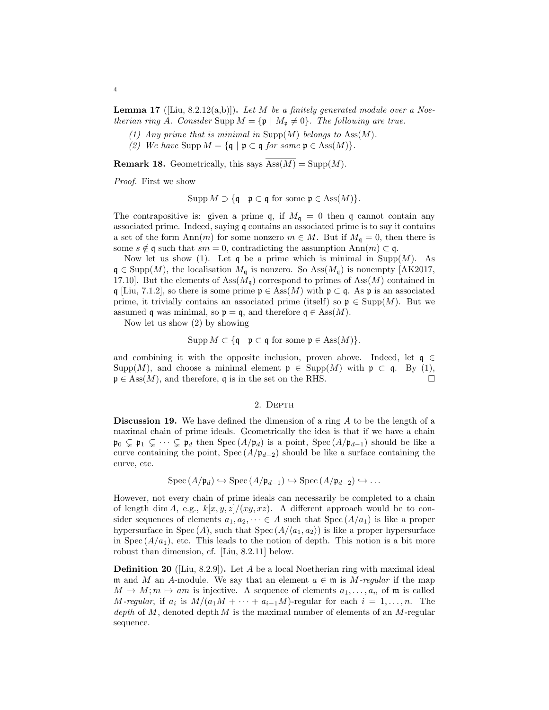**Lemma 17** ([Liu, 8.2.12(a,b)]). Let M be a finitely generated module over a Noetherian ring A. Consider Supp  $M = {\mathfrak{p} \mid M_{\mathfrak{p}} \neq 0}.$  The following are true.

- (1) Any prime that is minimal in  $\text{Supp}(M)$  belongs to  $\text{Ass}(M)$ .
- (2) We have Supp  $M = \{ \mathfrak{q} \mid \mathfrak{p} \subset \mathfrak{q} \text{ for some } \mathfrak{p} \in \text{Ass}(M) \}.$

**Remark 18.** Geometrically, this says  $\overline{Ass(M)} = \text{Supp}(M)$ .

Proof. First we show

Supp  $M \supset \{ \mathfrak{q} \mid \mathfrak{p} \subset \mathfrak{q} \text{ for some } \mathfrak{p} \in \text{Ass}(M) \}.$ 

The contrapositive is: given a prime  $\mathfrak{q}$ , if  $M_{\mathfrak{q}} = 0$  then  $\mathfrak{q}$  cannot contain any associated prime. Indeed, saying q contains an associated prime is to say it contains a set of the form Ann(m) for some nonzero  $m \in M$ . But if  $M_q = 0$ , then there is some  $s \notin \mathfrak{q}$  such that  $sm = 0$ , contradicting the assumption Ann $(m) \subset \mathfrak{q}$ .

Now let us show (1). Let q be a prime which is minimal in  $\text{Supp}(M)$ . As  $\mathfrak{q} \in \text{Supp}(M)$ , the localisation  $M_{\mathfrak{q}}$  is nonzero. So Ass $(M_{\mathfrak{q}})$  is nonempty [AK2017, 17.10]. But the elements of  $\text{Ass}(M_{\mathfrak{q}})$  correspond to primes of  $\text{Ass}(M)$  contained in q [Liu, 7.1.2], so there is some prime  $\mathfrak{p} \in \text{Ass}(M)$  with  $\mathfrak{p} \subset \mathfrak{q}$ . As  $\mathfrak{p}$  is an associated prime, it trivially contains an associated prime (itself) so  $\mathfrak{p} \in \text{Supp}(M)$ . But we assumed q was minimal, so  $\mathfrak{p} = \mathfrak{q}$ , and therefore  $\mathfrak{q} \in \text{Ass}(M)$ .

Now let us show (2) by showing

$$
Supp M \subset \{ \mathfrak{q} \mid \mathfrak{p} \subset \mathfrak{q} \text{ for some } \mathfrak{p} \in \text{Ass}(M) \}.
$$

and combining it with the opposite inclusion, proven above. Indeed, let  $q \in$ Supp $(M)$ , and choose a minimal element  $\mathfrak{p} \in \text{Supp}(M)$  with  $\mathfrak{p} \subset \mathfrak{q}$ . By (1),  $\mathfrak{p} \in \text{Ass}(M)$ , and therefore, q is in the set on the RHS.

## 2. DEPTH

Discussion 19. We have defined the dimension of a ring A to be the length of a maximal chain of prime ideals. Geometrically the idea is that if we have a chain  $\mathfrak{p}_0 \subsetneq \mathfrak{p}_1 \subsetneq \cdots \subsetneq \mathfrak{p}_d$  then  $\text{Spec}(A/\mathfrak{p}_d)$  is a point,  $\text{Spec}(A/\mathfrak{p}_{d-1})$  should be like a curve containing the point, Spec  $(A/\mathfrak{p}_{d-2})$  should be like a surface containing the curve, etc.

$$
Spec (A/\mathfrak{p}_d) \hookrightarrow Spec (A/\mathfrak{p}_{d-1}) \hookrightarrow Spec (A/\mathfrak{p}_{d-2}) \hookrightarrow \dots
$$

However, not every chain of prime ideals can necessarily be completed to a chain of length dim A, e.g.,  $k[x, y, z]/(xy, xz)$ . A different approach would be to consider sequences of elements  $a_1, a_2, \dots \in A$  such that  $Spec(A/a_1)$  is like a proper hypersurface in Spec (A), such that Spec  $(A/\langle a_1, a_2 \rangle)$  is like a proper hypersurface in Spec  $(A/a_1)$ , etc. This leads to the notion of depth. This notion is a bit more robust than dimension, cf. [Liu, 8.2.11] below.

**Definition 20** ([Liu, 8.2.9]). Let A be a local Noetherian ring with maximal ideal m and M an A-module. We say that an element  $a \in \mathfrak{m}$  is M-regular if the map  $M \to M; m \mapsto am$  is injective. A sequence of elements  $a_1, \ldots, a_n$  of m is called *M*-regular, if  $a_i$  is  $M/(a_1M + \cdots + a_{i-1}M)$ -regular for each  $i = 1, \ldots, n$ . The depth of M, denoted depth M is the maximal number of elements of an  $M$ -regular sequence.

4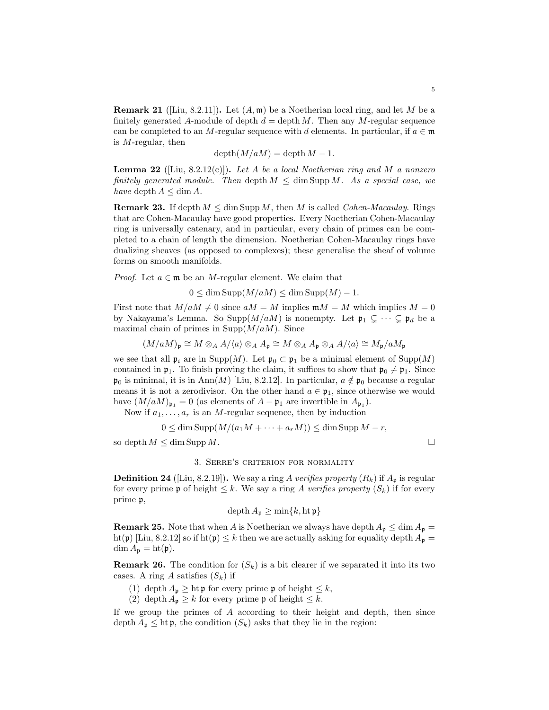**Remark 21** ([Liu, 8.2.11]). Let  $(A, \mathfrak{m})$  be a Noetherian local ring, and let M be a finitely generated A-module of depth  $d = \text{depth } M$ . Then any M-regular sequence can be completed to an M-regular sequence with d elements. In particular, if  $a \in \mathfrak{m}$ is  $M$ -regular, then

$$
\operatorname{depth}(M/aM) = \operatorname{depth} M - 1.
$$

**Lemma 22** ([Liu, 8.2.12(c)]). Let A be a local Noetherian ring and M a nonzero finitely generated module. Then depth  $M \leq \dim \text{Supp } M$ . As a special case, we have depth  $A \leq \dim A$ .

**Remark 23.** If depth  $M \leq \dim \text{Supp } M$ , then M is called *Cohen-Macaulay*. Rings that are Cohen-Macaulay have good properties. Every Noetherian Cohen-Macaulay ring is universally catenary, and in particular, every chain of primes can be completed to a chain of length the dimension. Noetherian Cohen-Macaulay rings have dualizing sheaves (as opposed to complexes); these generalise the sheaf of volume forms on smooth manifolds.

*Proof.* Let  $a \in \mathfrak{m}$  be an M-regular element. We claim that

 $0 \le \dim \text{Supp}(M/aM) \le \dim \text{Supp}(M) - 1.$ 

First note that  $M/aM \neq 0$  since  $aM = M$  implies  $mM = M$  which implies  $M = 0$ by Nakayama's Lemma. So Supp $(M/aM)$  is nonempty. Let  $\mathfrak{p}_1 \subsetneq \cdots \subsetneq \mathfrak{p}_d$  be a maximal chain of primes in  $\text{Supp}(M/aM)$ . Since

$$
(M/aM)_{\mathfrak{p}} \cong M \otimes_A A/\langle a \rangle \otimes_A A_{\mathfrak{p}} \cong M \otimes_A A_{\mathfrak{p}} \otimes_A A/\langle a \rangle \cong M_{\mathfrak{p}}/aM_{\mathfrak{p}}
$$

we see that all  $\mathfrak{p}_i$  are in Supp $(M)$ . Let  $\mathfrak{p}_0 \subset \mathfrak{p}_1$  be a minimal element of Supp $(M)$ contained in  $\mathfrak{p}_1$ . To finish proving the claim, it suffices to show that  $\mathfrak{p}_0 \neq \mathfrak{p}_1$ . Since  $\mathfrak{p}_0$  is minimal, it is in Ann(M) [Liu, 8.2.12]. In particular,  $a \notin \mathfrak{p}_0$  because a regular means it is not a zerodivisor. On the other hand  $a \in \mathfrak{p}_1$ , since otherwise we would have  $(M/aM)_{\mathfrak{p}_1} = 0$  (as elements of  $A - \mathfrak{p}_1$  are invertible in  $A_{\mathfrak{p}_1}$ ).

Now if  $a_1, \ldots, a_r$  is an M-regular sequence, then by induction

$$
0 \le \dim \operatorname{Supp}(M/(a_1M + \dots + a_rM)) \le \dim \operatorname{Supp} M - r,
$$

so depth  $M \leq \dim \text{Supp } M$ .

## 3. Serre's criterion for normality

**Definition 24** ([Liu, 8.2.19]). We say a ring A verifies property  $(R_k)$  if  $A_p$  is regular for every prime p of height  $\leq k$ . We say a ring A verifies property  $(S_k)$  if for every prime p,

$$
\operatorname{depth} A_{\mathfrak{p}} \ge \min\{k, \operatorname{ht} \mathfrak{p}\}\
$$

**Remark 25.** Note that when A is Noetherian we always have depth  $A_p \leq \dim A_p =$ ht(p) [Liu, 8.2.12] so if ht(p)  $\leq k$  then we are actually asking for equality depth  $A_p =$  $\dim A_{\mathfrak{p}} = \mathrm{ht}(\mathfrak{p}).$ 

**Remark 26.** The condition for  $(S_k)$  is a bit clearer if we separated it into its two cases. A ring A satisfies  $(S_k)$  if

- (1) depth  $A_{\mathfrak{p}} \geq h \mathfrak{t} \mathfrak{p}$  for every prime  $\mathfrak{p}$  of height  $\leq k$ ,
- (2) depth  $A_p \geq k$  for every prime p of height  $\leq k$ .

If we group the primes of A according to their height and depth, then since depth  $A_p \leq \text{ht } \mathfrak{p}$ , the condition  $(S_k)$  asks that they lie in the region: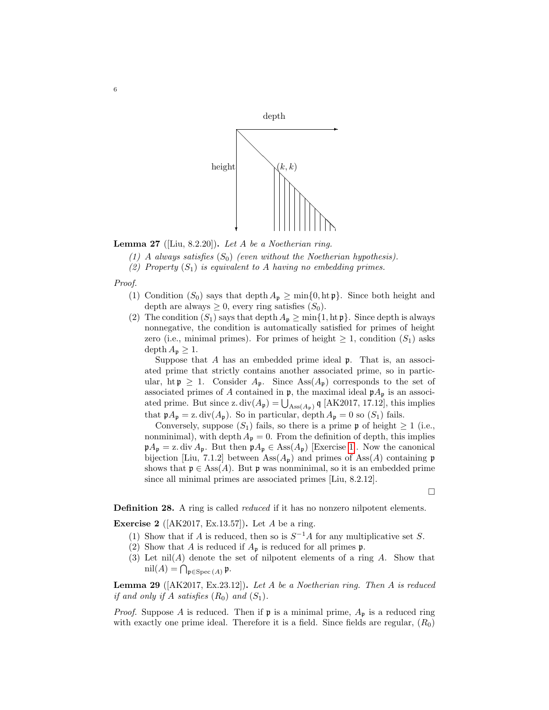

**Lemma 27** ([Liu, 8.2.20]). Let A be a Noetherian ring.

- (1) A always satisfies  $(S_0)$  (even without the Noetherian hypothesis).
- (2) Property  $(S_1)$  is equivalent to A having no embedding primes.

Proof.

- (1) Condition  $(S_0)$  says that depth  $A_p \ge \min\{0, \text{ht } p\}$ . Since both height and depth are always  $\geq 0$ , every ring satisfies  $(S_0)$ .
- (2) The condition  $(S_1)$  says that depth  $A_p \ge \min\{1, \ln p\}$ . Since depth is always nonnegative, the condition is automatically satisfied for primes of height zero (i.e., minimal primes). For primes of height  $\geq 1$ , condition  $(S_1)$  asks depth  $A_{p} \geq 1$ .

Suppose that  $A$  has an embedded prime ideal  $\mathfrak{p}$ . That is, an associated prime that strictly contains another associated prime, so in particular, ht  $p \geq 1$ . Consider  $A_p$ . Since  $\text{Ass}(A_p)$  corresponds to the set of associated primes of A contained in  $\mathfrak{p}$ , the maximal ideal  $\mathfrak{p}A_{\mathfrak{p}}$  is an associated prime. But since z.  $div(A_{\mathfrak{p}}) = \bigcup_{\text{Ass}(A_{\mathfrak{p}})} \mathfrak{q}$  [AK2017, 17.12], this implies that  $\mathfrak{p}A_{\mathfrak{p}} = \mathfrak{z}$ . div( $A_{\mathfrak{p}}$ ). So in particular, depth  $A_{\mathfrak{p}} = 0$  so ( $S_1$ ) fails.

Conversely, suppose  $(S_1)$  fails, so there is a prime p of height  $\geq 1$  (i.e., nonminimal), with depth  $A_p = 0$ . From the definition of depth, this implies  $\mathfrak{p}A_{\mathfrak{p}} = \mathfrak{z}$ . div  $A_{\mathfrak{p}}$ . But then  $\mathfrak{p}A_{\mathfrak{p}} \in \text{Ass}(A_{\mathfrak{p}})$  [Exercise [1\]](#page-2-0). Now the canonical bijection [Liu, 7.1.2] between  $\text{Ass}(A_{\mathfrak{p}})$  and primes of  $\text{Ass}(A)$  containing p shows that  $\mathfrak{p} \in \text{Ass}(A)$ . But  $\mathfrak{p}$  was nonminimal, so it is an embedded prime since all minimal primes are associated primes [Liu, 8.2.12].

 $\Box$ 

**Definition 28.** A ring is called *reduced* if it has no nonzero nilpotent elements.

Exercise 2 ( $[AK2017, Ex.13.57]$ ). Let A be a ring.

- (1) Show that if A is reduced, then so is  $S^{-1}A$  for any multiplicative set S.
- (2) Show that A is reduced if  $A_p$  is reduced for all primes  $p$ .
- (3) Let  $nil(A)$  denote the set of nilpotent elements of a ring  $A$ . Show that  $\mathrm{nil}(A) = \bigcap_{\mathfrak{p} \in \mathrm{Spec}\,(A)} \mathfrak{p}.$

**Lemma 29** ( $[AK2017, Ex.23.12]$ ). Let A be a Noetherian ring. Then A is reduced if and only if A satisfies  $(R_0)$  and  $(S_1)$ .

*Proof.* Suppose A is reduced. Then if  $\mathfrak{p}$  is a minimal prime,  $A_{\mathfrak{p}}$  is a reduced ring with exactly one prime ideal. Therefore it is a field. Since fields are regular,  $(R_0)$